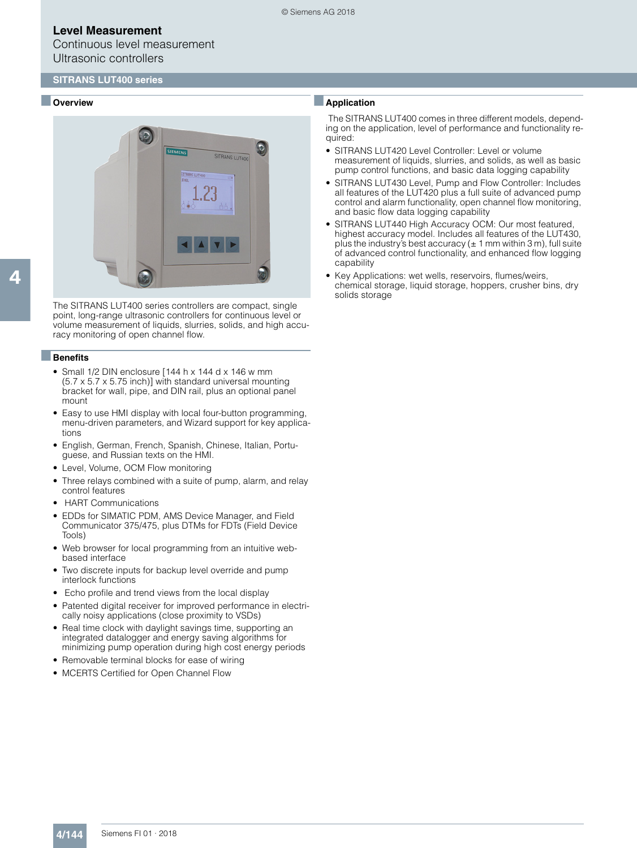Continuous level measurement Ultrasonic controllers

#### ■ **Overview**



4

The SITRANS LUT400 series controllers are compact, single point, long-range ultrasonic controllers for continuous level or volume measurement of liquids, slurries, solids, and high accuracy monitoring of open channel flow.

#### ■**Benefits**

- Small 1/2 DIN enclosure [144 h x 144 d x 146 w mm (5.7 x 5.7 x 5.75 inch)] with standard universal mounting bracket for wall, pipe, and DIN rail, plus an optional panel mount
- Easy to use HMI display with local four-button programming, menu-driven parameters, and Wizard support for key applications
- English, German, French, Spanish, Chinese, Italian, Portuguese, and Russian texts on the HMI.
- Level, Volume, OCM Flow monitoring
- Three relays combined with a suite of pump, alarm, and relay control features
- HART Communications
- EDDs for SIMATIC PDM, AMS Device Manager, and Field Communicator 375/475, plus DTMs for FDTs (Field Device Tools)
- Web browser for local programming from an intuitive webbased interface
- Two discrete inputs for backup level override and pump interlock functions
- Echo profile and trend views from the local display
- Patented digital receiver for improved performance in electrically noisy applications (close proximity to VSDs)
- Real time clock with daylight savings time, supporting an integrated datalogger and energy saving algorithms for minimizing pump operation during high cost energy periods
- Removable terminal blocks for ease of wiring
- MCERTS Certified for Open Channel Flow

## ■**Application**

The SITRANS LUT400 comes in three different models, depending on the application, level of performance and functionality required:

- SITRANS LUT420 Level Controller: Level or volume measurement of liquids, slurries, and solids, as well as basic pump control functions, and basic data logging capability
- SITRANS LUT430 Level, Pump and Flow Controller: Includes all features of the LUT420 plus a full suite of advanced pump control and alarm functionality, open channel flow monitoring, and basic flow data logging capability
- SITRANS LUT440 High Accuracy OCM: Our most featured, highest accuracy model. Includes all features of the LUT430, plus the industry's best accuracy ( $\pm$  1 mm within 3 m), full suite of advanced control functionality, and enhanced flow logging capability
- Key Applications: wet wells, reservoirs, flumes/weirs, chemical storage, liquid storage, hoppers, crusher bins, dry solids storage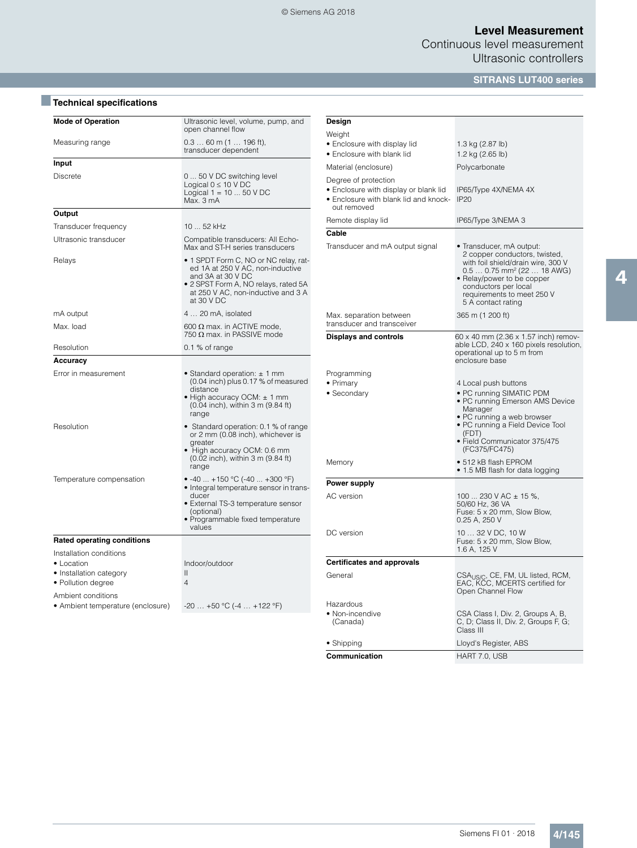Continuous level measurement Ultrasonic controllers

# **SITRANS LUT400 series**

# ■**Technical specifications**

| <b>Mode of Operation</b>                                                                                                                          | Ultrasonic level, volume, pump, and<br>open channel flow                                                                                                                                   |  |  |
|---------------------------------------------------------------------------------------------------------------------------------------------------|--------------------------------------------------------------------------------------------------------------------------------------------------------------------------------------------|--|--|
| Measuring range                                                                                                                                   | $0.360$ m (1  196 ft),<br>transducer dependent                                                                                                                                             |  |  |
| Input                                                                                                                                             |                                                                                                                                                                                            |  |  |
| <b>Discrete</b>                                                                                                                                   | 0  50 V DC switching level<br>Logical $0 \leq 10 \vee DC$<br>Logical $1 = 1050$ V DC<br>Max. 3 mA                                                                                          |  |  |
| Output                                                                                                                                            |                                                                                                                                                                                            |  |  |
| Transducer frequency                                                                                                                              | 10  52 kHz                                                                                                                                                                                 |  |  |
| Ultrasonic transducer                                                                                                                             | Compatible transducers: All Echo-<br>Max and ST-H series transducers                                                                                                                       |  |  |
| Relays                                                                                                                                            | • 1 SPDT Form C, NO or NC relay, rat-<br>ed 1A at 250 V AC, non-inductive<br>and 3A at 30 V DC<br>· 2 SPST Form A, NO relays, rated 5A<br>at 250 V AC, non-inductive and 3 A<br>at 30 V DC |  |  |
| mA output                                                                                                                                         | 4  20 mA, isolated                                                                                                                                                                         |  |  |
| Max. load                                                                                                                                         | 600 $\Omega$ max. in ACTIVE mode,<br>750 $\Omega$ max. in PASSIVE mode                                                                                                                     |  |  |
| Resolution                                                                                                                                        | $0.1$ % of range                                                                                                                                                                           |  |  |
| Accuracy                                                                                                                                          |                                                                                                                                                                                            |  |  |
| Error in measurement                                                                                                                              | • Standard operation: $\pm$ 1 mm<br>(0.04 inch) plus 0.17 % of measured<br>distance<br>• High accuracy OCM: $\pm$ 1 mm<br>$(0.04$ inch), within 3 m $(9.84$ ft)<br>range                   |  |  |
| Resolution                                                                                                                                        | • Standard operation: 0.1 % of range<br>or 2 mm (0.08 inch), whichever is<br>greater<br>• High accuracy OCM: 0.6 mm<br>(0.02 inch), within 3 m (9.84 ft)<br>range                          |  |  |
| Temperature compensation                                                                                                                          | • -40  +150 °C (-40  +300 °F)<br>• Integral temperature sensor in trans-<br>ducer<br>• External TS-3 temperature sensor<br>(optional)<br>• Programmable fixed temperature<br>values        |  |  |
| <b>Rated operating conditions</b>                                                                                                                 |                                                                                                                                                                                            |  |  |
| Installation conditions<br>• Location<br>• Installation category<br>• Pollution degree<br>Ambient conditions<br>• Ambient temperature (enclosure) | Indoor/outdoor<br>$\mathsf{II}$<br>4<br>$-20+50$ °C ( $-4+122$ °F)                                                                                                                         |  |  |
|                                                                                                                                                   |                                                                                                                                                                                            |  |  |

| Design                                                                                                                |                                                                                                                                                                                                                                                     |  |  |
|-----------------------------------------------------------------------------------------------------------------------|-----------------------------------------------------------------------------------------------------------------------------------------------------------------------------------------------------------------------------------------------------|--|--|
| Weight                                                                                                                |                                                                                                                                                                                                                                                     |  |  |
| • Enclosure with display lid<br>• Enclosure with blank lid                                                            | 1.3 kg (2.87 lb)<br>1.2 kg (2.65 lb)                                                                                                                                                                                                                |  |  |
| Material (enclosure)                                                                                                  | Polycarbonate                                                                                                                                                                                                                                       |  |  |
| Degree of protection<br>• Enclosure with display or blank lid<br>• Enclosure with blank lid and knock-<br>out removed | IP65/Type 4X/NEMA 4X<br><b>IP20</b>                                                                                                                                                                                                                 |  |  |
| Remote display lid                                                                                                    | IP65/Type 3/NEMA 3                                                                                                                                                                                                                                  |  |  |
| Cable                                                                                                                 |                                                                                                                                                                                                                                                     |  |  |
| Transducer and mA output signal                                                                                       | • Transducer, mA output:<br>2 copper conductors, twisted,<br>with foil shield/drain wire, 300 V<br>0.5  0.75 mm <sup>2</sup> (22  18 AWG)<br>• Relay/power to be copper<br>conductors per local<br>requirements to meet 250 V<br>5 A contact rating |  |  |
| Max. separation between<br>transducer and transceiver                                                                 | 365 m (1 200 ft)                                                                                                                                                                                                                                    |  |  |
| <b>Displays and controls</b>                                                                                          | 60 x 40 mm (2.36 x 1.57 inch) remov-<br>able LCD, 240 x 160 pixels resolution,<br>operational up to 5 m from<br>enclosure base                                                                                                                      |  |  |
| Programming                                                                                                           |                                                                                                                                                                                                                                                     |  |  |
| • Primary<br>• Secondary                                                                                              | 4 Local push buttons<br>• PC running SIMATIC PDM<br>• PC running Emerson AMS Device<br>Manager<br>• PC running a web browser<br>• PC running a Field Device Tool<br>(FDT)<br>· Field Communicator 375/475<br>(FC375/FC475)                          |  |  |
| Memory                                                                                                                | $\bullet$ 512 kB flash EPROM<br>• 1.5 MB flash for data logging                                                                                                                                                                                     |  |  |
| <b>Power supply</b>                                                                                                   |                                                                                                                                                                                                                                                     |  |  |
| AC version                                                                                                            | 100  230 V AC $\pm$ 15 %,<br>50/60 Hz, 36 VA<br>Fuse: 5 x 20 mm, Slow Blow,<br>0.25 A, 250 V                                                                                                                                                        |  |  |
| DC version                                                                                                            | 10  32 V DC, 10 W<br>Fuse: 5 x 20 mm, Slow Blow,<br>1.6 A, 125 V                                                                                                                                                                                    |  |  |
| <b>Certificates and approvals</b>                                                                                     |                                                                                                                                                                                                                                                     |  |  |
| General                                                                                                               | CSA <sub>US/C</sub> , CE, FM, UL listed, RCM,<br>EAC, KCC, MCERTS certified for<br>Open Channel Flow                                                                                                                                                |  |  |
| Hazardous<br>• Non-incendive<br>(Canada)                                                                              | CSA Class I, Div. 2, Groups A, B,<br>C, D; Class II, Div. 2, Groups F, G;<br>Class III                                                                                                                                                              |  |  |
| $\bullet$ Shipping                                                                                                    | Lloyd's Register, ABS                                                                                                                                                                                                                               |  |  |
| Communication                                                                                                         | HART 7.0, USB                                                                                                                                                                                                                                       |  |  |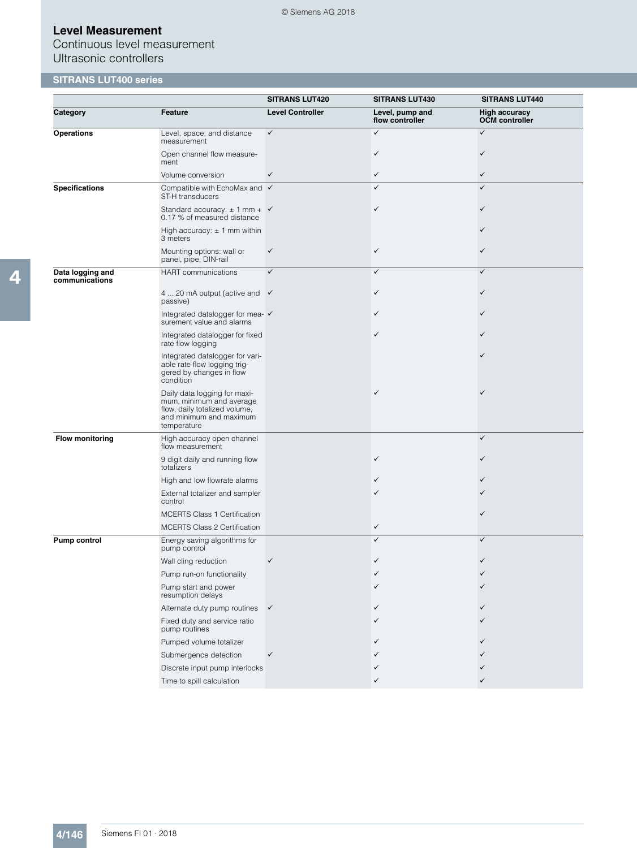Continuous level measurement Ultrasonic controllers

# **SITRANS LUT400 series**

|                                    |                                                                                                                                     | <b>SITRANS LUT420</b>   | <b>SITRANS LUT430</b>              | <b>SITRANS LUT440</b>                         |
|------------------------------------|-------------------------------------------------------------------------------------------------------------------------------------|-------------------------|------------------------------------|-----------------------------------------------|
| Category                           | Feature                                                                                                                             | <b>Level Controller</b> | Level, pump and<br>flow controller | <b>High accuracy</b><br><b>OCM</b> controller |
| <b>Operations</b>                  | Level, space, and distance<br>measurement                                                                                           | $\checkmark$            | $\checkmark$                       | $\checkmark$                                  |
|                                    | Open channel flow measure-<br>ment                                                                                                  |                         | $\checkmark$                       | ✓                                             |
|                                    | Volume conversion                                                                                                                   | ✓                       | $\checkmark$                       | ✓                                             |
| <b>Specifications</b>              | Compatible with EchoMax and √<br>ST-H transducers                                                                                   |                         | ✓                                  | ✓                                             |
|                                    | Standard accuracy: $\pm$ 1 mm + $\checkmark$<br>0.17 % of measured distance                                                         |                         | ✓                                  |                                               |
|                                    | High accuracy: $\pm$ 1 mm within<br>3 meters                                                                                        |                         |                                    |                                               |
|                                    | Mounting options: wall or<br>panel, pipe, DIN-rail                                                                                  | $\checkmark$            | $\checkmark$                       | ✓                                             |
| Data logging and<br>communications | <b>HART</b> communications                                                                                                          | $\checkmark$            | ✓                                  | $\checkmark$                                  |
|                                    | 4  20 mA output (active and $\checkmark$<br>passive)                                                                                |                         | ✓                                  |                                               |
|                                    | Integrated datalogger for mea- ✓<br>surement value and alarms                                                                       |                         |                                    |                                               |
|                                    | Integrated datalogger for fixed<br>rate flow logging                                                                                |                         | ✓                                  |                                               |
|                                    | Integrated datalogger for vari-<br>able rate flow logging trig-<br>gered by changes in flow<br>condition                            |                         |                                    |                                               |
|                                    | Daily data logging for maxi-<br>mum, minimum and average<br>flow, daily totalized volume,<br>and minimum and maximum<br>temperature |                         | ✓                                  |                                               |
| <b>Flow monitoring</b>             | High accuracy open channel<br>flow measurement                                                                                      |                         |                                    | $\checkmark$                                  |
|                                    | 9 digit daily and running flow<br>totalizers                                                                                        |                         | ✓                                  |                                               |
|                                    | High and low flowrate alarms                                                                                                        |                         |                                    |                                               |
|                                    | External totalizer and sampler<br>control                                                                                           |                         |                                    |                                               |
|                                    | <b>MCERTS Class 1 Certification</b>                                                                                                 |                         |                                    |                                               |
|                                    | <b>MCERTS Class 2 Certification</b>                                                                                                 |                         | ✓                                  |                                               |
| Pump control                       | Energy saving algorithms for<br>pump control                                                                                        |                         | ✓                                  | ✓                                             |
|                                    | Wall cling reduction                                                                                                                |                         | ✓                                  |                                               |
|                                    | Pump run-on functionality                                                                                                           |                         |                                    |                                               |
|                                    | Pump start and power<br>resumption delays                                                                                           |                         | ✓                                  |                                               |
|                                    | Alternate duty pump routines                                                                                                        | $\checkmark$            | ✓                                  |                                               |
|                                    | Fixed duty and service ratio<br>pump routines                                                                                       |                         |                                    |                                               |
|                                    | Pumped volume totalizer                                                                                                             |                         |                                    |                                               |
|                                    | Submergence detection                                                                                                               | ✓                       |                                    |                                               |
|                                    | Discrete input pump interlocks                                                                                                      |                         |                                    |                                               |
|                                    | Time to spill calculation                                                                                                           |                         | ✓                                  |                                               |

© Siemens AG 2018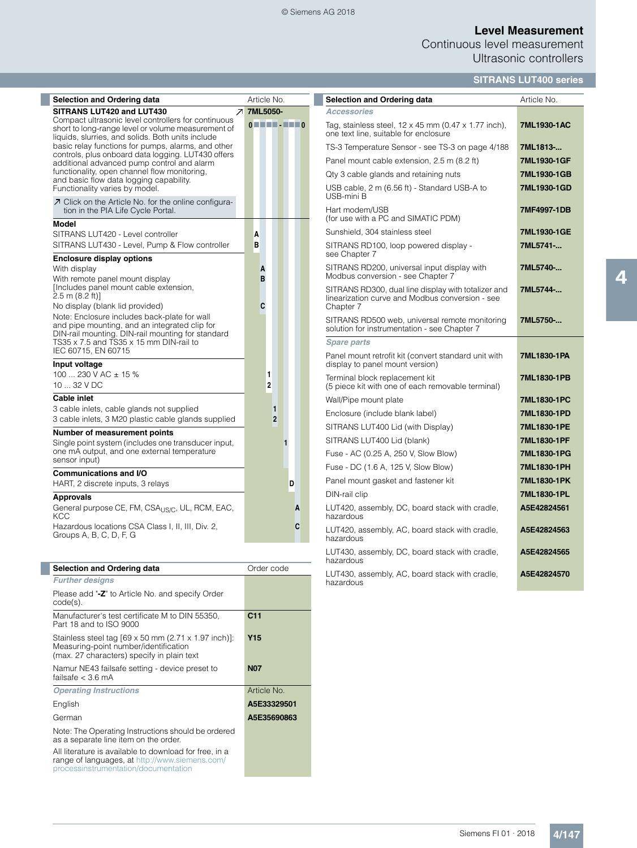#### © Siemens AG 2018

# **Level Measurement**

Continuous level measurement Ultrasonic controllers

# **SITRANS LUT400 series**

| <b>Selection and Ordering data</b>                                                                                                                                                                                                                                                                                                                                                                                                                                                 |                | Article No.                                                                                                                                                 |
|------------------------------------------------------------------------------------------------------------------------------------------------------------------------------------------------------------------------------------------------------------------------------------------------------------------------------------------------------------------------------------------------------------------------------------------------------------------------------------|----------------|-------------------------------------------------------------------------------------------------------------------------------------------------------------|
| SITRANS LUT420 and LUT430<br>Compact ultrasonic level controllers for continuous<br>short to long-range level or volume measurement of<br>liquids, slurries, and solids. Both units include<br>basic relay functions for pumps, alarms, and other<br>controls, plus onboard data logging. LUT430 offers<br>additional advanced pump control and alarm<br>functionality, open channel flow monitoring,<br>and basic flow data logging capability.<br>Functionality varies by model. | $\overline{z}$ | 7ML5050-<br>$\begin{array}{c} \mathbf{0} \quad \mathbf{0} \quad \mathbf{0} \quad \mathbf{0} \quad \mathbf{0} \quad \mathbf{0} \quad \mathbf{0} \end{array}$ |
| ○ Click on the Article No. for the online configura-<br>tion in the PIA Life Cycle Portal.                                                                                                                                                                                                                                                                                                                                                                                         |                |                                                                                                                                                             |
| <b>Model</b><br>SITRANS LUT420 - Level controller<br>SITRANS LUT430 - Level, Pump & Flow controller                                                                                                                                                                                                                                                                                                                                                                                |                | A<br>B                                                                                                                                                      |
| <b>Enclosure display options</b><br>With display<br>With remote panel mount display<br>[Includes panel mount cable extension,<br>2.5 m (8.2 ft)]<br>No display (blank lid provided)<br>Note: Enclosure includes back-plate for wall<br>and pipe mounting, and an integrated clip for<br>DIN-rail mounting. DIN-rail mounting for standard<br>TS35 x 7.5 and TS35 x 15 mm DIN-rail to                                                                                               |                | A<br>B<br>C                                                                                                                                                 |
| IEC 60715, EN 60715<br>Input voltage<br>100  230 V AC $\pm$ 15 %<br>$1032$ V DC                                                                                                                                                                                                                                                                                                                                                                                                    |                | 1<br>$\overline{2}$                                                                                                                                         |
| Cable inlet<br>3 cable inlets, cable glands not supplied<br>3 cable inlets, 3 M20 plastic cable glands supplied                                                                                                                                                                                                                                                                                                                                                                    |                | 1<br>$\overline{2}$                                                                                                                                         |
| Number of measurement points<br>Single point system (includes one transducer input,<br>one mA output, and one external temperature<br>sensor input)                                                                                                                                                                                                                                                                                                                                |                | 1                                                                                                                                                           |
| <b>Communications and I/O</b><br>HART, 2 discrete inputs, 3 relays                                                                                                                                                                                                                                                                                                                                                                                                                 |                | D                                                                                                                                                           |
| <b>Approvals</b><br>General purpose CE, FM, CSA <sub>US/C</sub> , UL, RCM, EAC,<br>KCC                                                                                                                                                                                                                                                                                                                                                                                             |                | A                                                                                                                                                           |
| Hazardous locations CSA Class I, II, III, Div. 2,<br>Groups A, B, C, D, F, G                                                                                                                                                                                                                                                                                                                                                                                                       |                | C                                                                                                                                                           |

| <b>Selection and Ordering data</b>                                                                                                                        | Order code      |
|-----------------------------------------------------------------------------------------------------------------------------------------------------------|-----------------|
| <b>Further designs</b>                                                                                                                                    |                 |
| Please add "-Z" to Article No. and specify Order<br>$code(s)$ .                                                                                           |                 |
| Manufacturer's test certificate M to DIN 55350,<br>Part 18 and to ISO 9000                                                                                | C <sub>11</sub> |
| Stainless steel tag $[69 \times 50$ mm $(2.71 \times 1.97$ inch)]:<br>Measuring-point number/identification<br>(max. 27 characters) specify in plain text | Y <sub>15</sub> |
| Namur NE43 failsafe setting - device preset to<br>failsafe $<$ 3 6 mA                                                                                     | <b>N07</b>      |
| <b>Operating Instructions</b>                                                                                                                             | Article No.     |
| English                                                                                                                                                   | A5E33329501     |
| German                                                                                                                                                    | A5E35690863     |
| Note: The Operating Instructions should be ordered<br>as a separate line item on the order.                                                               |                 |
| All literature is available to download for free, in a<br>range of languages, at http://www.siemens.com/<br>processinstrumentation/documentation          |                 |

| <b>Selection and Ordering data</b>                                                                                  | Article No. |
|---------------------------------------------------------------------------------------------------------------------|-------------|
| <b>Accessories</b>                                                                                                  |             |
| Tag, stainless steel, $12 \times 45$ mm (0.47 $\times$ 1.77 inch),<br>one text line, suitable for enclosure         | 7ML1930-1AC |
| TS-3 Temperature Sensor - see TS-3 on page 4/188                                                                    | 7ML1813-    |
| Panel mount cable extension, 2.5 m (8.2 ft)                                                                         | 7ML1930-1GF |
| Qty 3 cable glands and retaining nuts                                                                               | 7ML1930-1GB |
| USB cable, 2 m (6.56 ft) - Standard USB-A to<br>USB-mini B                                                          | 7ML1930-1GD |
| Hart modem/USB<br>(for use with a PC and SIMATIC PDM)                                                               | 7MF4997-1DB |
| Sunshield, 304 stainless steel                                                                                      | 7ML1930-1GE |
| SITRANS RD100, loop powered display -<br>see Chapter 7                                                              | 7ML5741-    |
| SITRANS RD200, universal input display with<br>Modbus conversion - see Chapter 7                                    | 7ML5740-    |
| SITRANS RD300, dual line display with totalizer and<br>linearization curve and Modbus conversion - see<br>Chapter 7 | 7ML5744-    |
| SITRANS RD500 web, universal remote monitoring<br>solution for instrumentation - see Chapter 7                      | 7ML5750-    |
| <b>Spare parts</b>                                                                                                  |             |
| Panel mount retrofit kit (convert standard unit with<br>display to panel mount version)                             | 7ML1830-1PA |
| Terminal block replacement kit<br>(5 piece kit with one of each removable terminal)                                 | 7ML1830-1PB |
| Wall/Pipe mount plate                                                                                               | 7ML1830-1PC |
| Enclosure (include blank label)                                                                                     | 7ML1830-1PD |
| SITRANS LUT400 Lid (with Display)                                                                                   | 7ML1830-1PE |
| SITRANS LUT400 Lid (blank)                                                                                          | 7ML1830-1PF |
| Fuse - AC (0.25 A, 250 V, Slow Blow)                                                                                | 7ML1830-1PG |
| Fuse - DC (1.6 A, 125 V, Slow Blow)                                                                                 | 7ML1830-1PH |
| Panel mount gasket and fastener kit                                                                                 | 7ML1830-1PK |
| DIN-rail clip                                                                                                       | 7ML1830-1PL |
| LUT420, assembly, DC, board stack with cradle,<br>hazardous                                                         | A5E42824561 |
| LUT420, assembly, AC, board stack with cradle,<br>hazardous                                                         | A5E42824563 |
| LUT430, assembly, DC, board stack with cradle,<br>hazardous                                                         | A5E42824565 |
| LUT430, assembly, AC, board stack with cradle,<br>hazardous                                                         | A5E42824570 |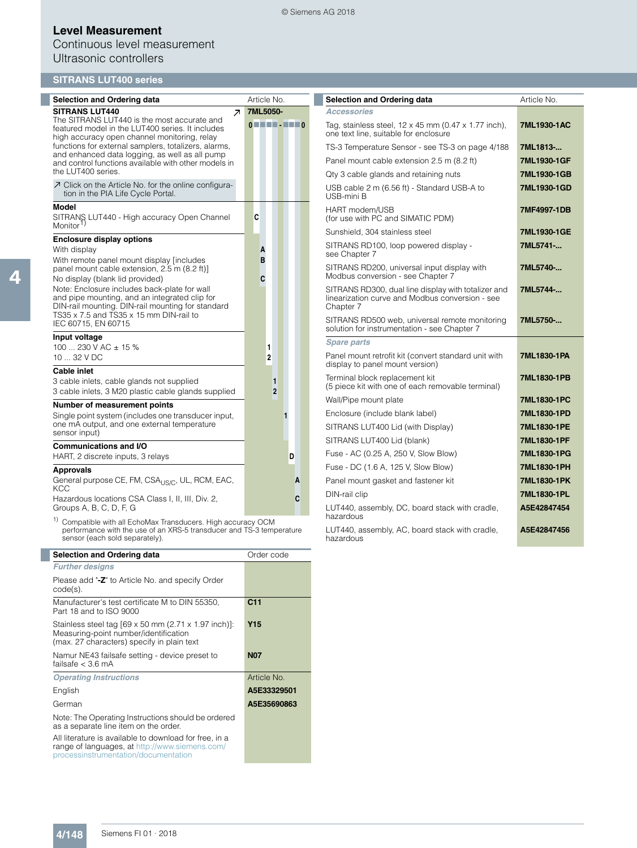# Continuous level measurement Ultrasonic controllers

## **SITRANS LUT400 series**

| <b>Selection and Ordering data</b>                                                                                                                 | Article No.               | <b>Selection and Ordering data</b>                                                                                  | Article No. |
|----------------------------------------------------------------------------------------------------------------------------------------------------|---------------------------|---------------------------------------------------------------------------------------------------------------------|-------------|
| <b>SITRANS LUT440</b><br>$\overline{\phantom{a}}$                                                                                                  | 7ML5050-                  | <b>Accessories</b>                                                                                                  |             |
| The SITRANS LUT440 is the most accurate and<br>featured model in the LUT400 series. It includes<br>high accuracy open channel monitoring, relay    | $0$ . The $\cdot$ and $0$ | Tag, stainless steel, $12 \times 45$ mm (0.47 $\times$ 1.77 inch),<br>one text line, suitable for enclosure         | 7ML1930-1AC |
| functions for external samplers, totalizers, alarms,                                                                                               |                           | TS-3 Temperature Sensor - see TS-3 on page 4/188                                                                    | 7ML1813-    |
| and enhanced data logging, as well as all pump<br>and control functions available with other models in                                             |                           | Panel mount cable extension 2.5 m (8.2 ft)                                                                          | 7ML1930-1GF |
| the LUT400 series.                                                                                                                                 |                           | Qty 3 cable glands and retaining nuts                                                                               | 7ML1930-1GB |
| ○ Click on the Article No. for the online configura-<br>tion in the PIA Life Cycle Portal.                                                         |                           | USB cable 2 m (6.56 ft) - Standard USB-A to<br>USB-mini B                                                           | 7ML1930-1GD |
| <b>Model</b><br>SITRANS LUT440 - High accuracy Open Channel<br>Monitor <sup>1)</sup>                                                               | C                         | HART modem/USB<br>(for use with PC and SIMATIC PDM)                                                                 | 7MF4997-1DB |
|                                                                                                                                                    |                           | Sunshield, 304 stainless steel                                                                                      | 7ML1930-1GE |
| <b>Enclosure display options</b><br>With display<br>With remote panel mount display [includes]                                                     | A<br>B                    | SITRANS RD100, loop powered display -<br>see Chapter 7                                                              | 7ML5741-    |
| panel mount cable extension, 2.5 m (8.2 ft)]<br>No display (blank lid provided)                                                                    | C                         | SITRANS RD200, universal input display with<br>Modbus conversion - see Chapter 7                                    | 7ML5740-    |
| Note: Enclosure includes back-plate for wall<br>and pipe mounting, and an integrated clip for<br>DIN-rail mounting. DIN-rail mounting for standard |                           | SITRANS RD300, dual line display with totalizer and<br>linearization curve and Modbus conversion - see<br>Chapter 7 | 7ML5744-    |
| TS35 x 7.5 and TS35 x 15 mm DIN-rail to<br>IEC 60715, EN 60715                                                                                     |                           | SITRANS RD500 web, universal remote monitoring<br>solution for instrumentation - see Chapter 7                      | 7ML5750-    |
| Input voltage<br>100  230 V AC $\pm$ 15 %                                                                                                          | 1                         | <b>Spare parts</b>                                                                                                  |             |
| 10  32 V DC                                                                                                                                        | $\overline{\mathbf{2}}$   | Panel mount retrofit kit (convert standard unit with<br>display to panel mount version)                             | 7ML1830-1PA |
| <b>Cable inlet</b><br>3 cable inlets, cable glands not supplied<br>3 cable inlets, 3 M20 plastic cable glands supplied                             | 1<br>$\overline{2}$       | Terminal block replacement kit<br>(5 piece kit with one of each removable terminal)                                 | 7ML1830-1PB |
| Number of measurement points                                                                                                                       |                           | Wall/Pipe mount plate                                                                                               | 7ML1830-1PC |
| Single point system (includes one transducer input,                                                                                                | 1                         | Enclosure (include blank label)                                                                                     | 7ML1830-1PD |
| one mA output, and one external temperature<br>sensor input)                                                                                       |                           | SITRANS LUT400 Lid (with Display)                                                                                   | 7ML1830-1PE |
| <b>Communications and I/O</b>                                                                                                                      |                           | SITRANS LUT400 Lid (blank)                                                                                          | 7ML1830-1PF |
| HART, 2 discrete inputs, 3 relays                                                                                                                  | D                         | Fuse - AC (0.25 A, 250 V, Slow Blow)                                                                                | 7ML1830-1PG |
| <b>Approvals</b>                                                                                                                                   |                           | Fuse - DC (1.6 A, 125 V, Slow Blow)                                                                                 | 7ML1830-1PH |
| General purpose CE, FM, CSA <sub>US/C</sub> , UL, RCM, EAC,                                                                                        | A                         | Panel mount gasket and fastener kit                                                                                 | 7ML1830-1PK |
| KCC                                                                                                                                                |                           | DIN-rail clip                                                                                                       | 7ML1830-1PL |
| Hazardous locations CSA Class I, II, III, Div. 2,<br>Groups A, B, C, D, F, G                                                                       | C                         | LUT440, assembly, DC, board stack with cradle,<br>hazardous                                                         | A5E42847454 |
| <sup>1)</sup> Compatible with all EchoMax Transducers. High accuracy OCM<br>performance with the use of an XRS-5 transducer and TS-3 temperature   |                           | LUT440, assembly, AC, board stack with cradle,                                                                      | A5E42847456 |

 $1)$  Compatible w performance with the use of an XRS-5 transducer and TS-3 temperature sensor (each sold separately).

| Selection and Ordering data                                                                                                                      | Order code      |
|--------------------------------------------------------------------------------------------------------------------------------------------------|-----------------|
| <b>Further designs</b>                                                                                                                           |                 |
| Please add "-Z" to Article No. and specify Order<br>$code(s)$ .                                                                                  |                 |
| Manufacturer's test certificate M to DIN 55350.<br>Part 18 and to ISO 9000                                                                       | C <sub>11</sub> |
| Stainless steel tag [69 x 50 mm (2.71 x 1.97 inch)]:<br>Measuring-point number/identification<br>(max. 27 characters) specify in plain text      | Y <sub>15</sub> |
| Namur NE43 failsafe setting - device preset to<br>failsafe $<$ 3 6 mA                                                                            | <b>N07</b>      |
| <b>Operating Instructions</b>                                                                                                                    | Article No.     |
| English                                                                                                                                          | A5E33329501     |
| German                                                                                                                                           | A5E35690863     |
| Note: The Operating Instructions should be ordered<br>as a separate line item on the order.                                                      |                 |
| All literature is available to download for free, in a<br>range of languages, at http://www.siemens.com/<br>processinstrumentation/documentation |                 |

LUT440, assembly, AC, board stack with cradle, hazardous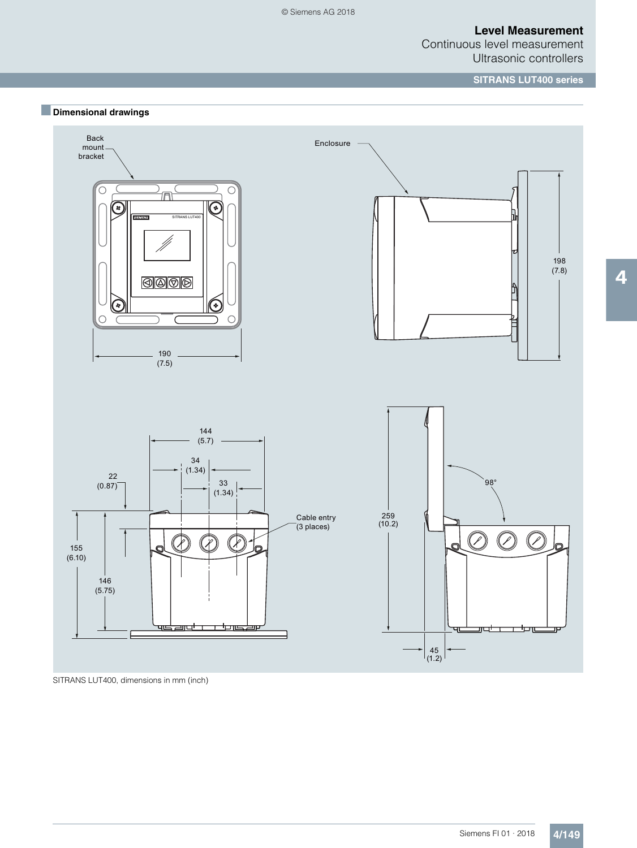Continuous level measurement Ultrasonic controllers

#### **SITRANS LUT400 series**





SITRANS LUT400, dimensions in mm (inch)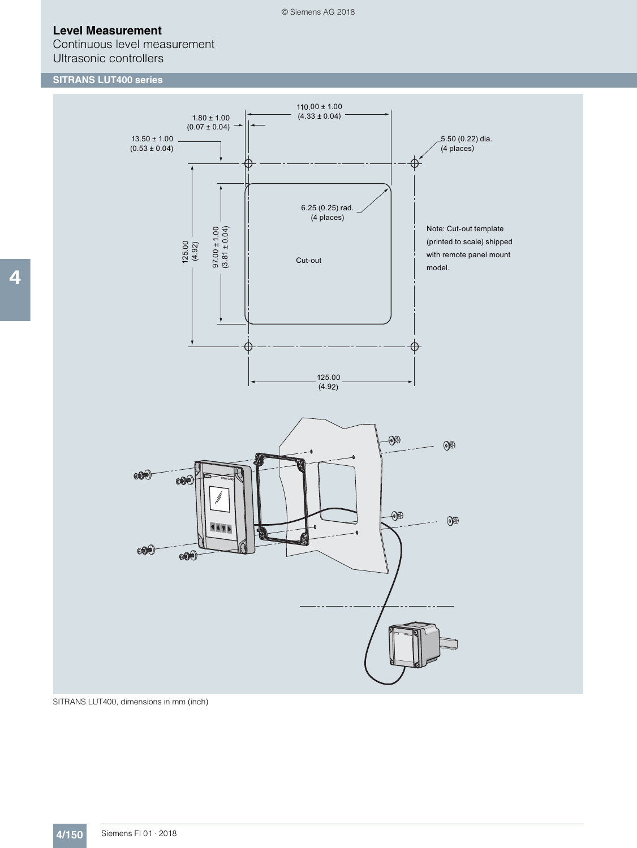Continuous level measurement Ultrasonic controllers

# **SITRANS LUT400 series**



SITRANS LUT400, dimensions in mm (inch)